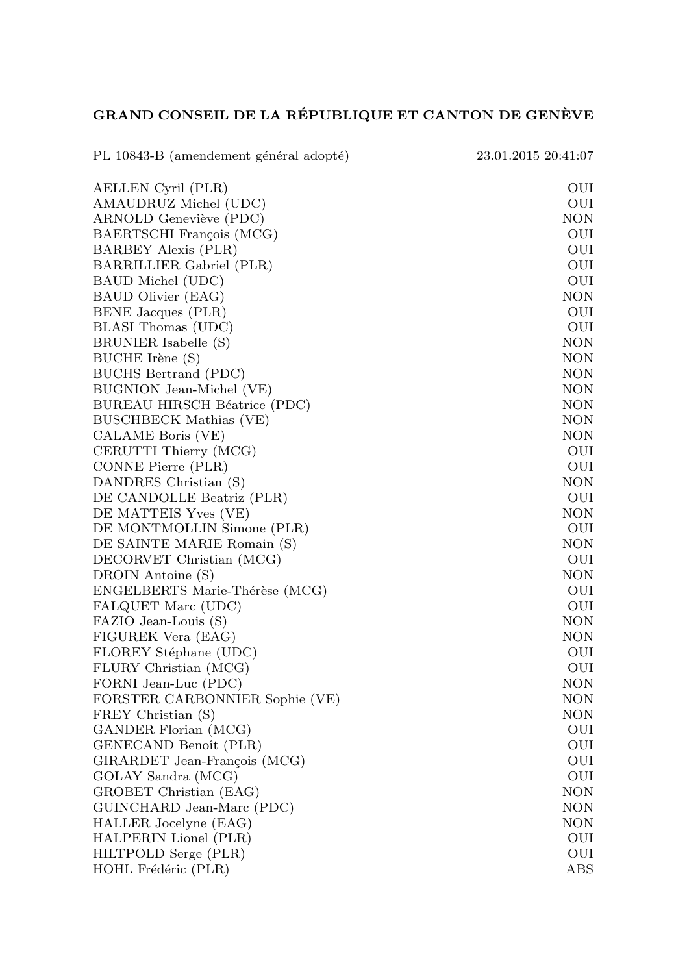## GRAND CONSEIL DE LA RÉPUBLIQUE ET CANTON DE GENÈVE

PL 10843-B (amendement général adopté) 23.01.2015 20:41:07 AELLEN Cyril (PLR) OUI AMAUDRUZ Michel (UDC) OUI ARNOLD Geneviève (PDC) NON BAERTSCHI François (MCG) OUI BARBEY Alexis (PLR) OUI BARRILLIER Gabriel (PLR) OUI BAUD Michel (UDC) SAUD MOUI BAUD Olivier (EAG) NON BENE Jacques (PLR) OUI BLASI Thomas (UDC) OUI BRUNIER Isabelle (S) NON BUCHE Irène (S) NON BUCHS Bertrand (PDC) NON BUGNION Jean-Michel (VE) NON BUREAU HIRSCH Béatrice (PDC) NON BUSCHBECK Mathias (VE) NON CALAME Boris (VE) NON CERUTTI Thierry (MCG) OUI CONNE Pierre (PLR) OUI DANDRES Christian (S) NON DE CANDOLLE Beatriz (PLR) OUI DE MATTEIS Yves (VE) NON DE MONTMOLLIN Simone (PLR) DE SAINTE MARIE Romain (S) NON DECORVET Christian (MCG) OUI DROIN Antoine (S) NON ENGELBERTS Marie-Th´er`ese (MCG) OUI FALQUET Marc (UDC) OUI FAZIO Jean-Louis (S) NON FIGUREK Vera (EAG) NON FLOREY Stéphane (UDC) OUI FLURY Christian (MCG) OUI FORNI Jean-Luc (PDC) NON FORSTER CARBONNIER Sophie (VE) NON FREY Christian (S) NON GANDER Florian (MCG) OUI GENECAND Benoît (PLR) OUI GIRARDET Jean-François (MCG) OUI GOLAY Sandra (MCG) OUI GROBET Christian (EAG) NON GUINCHARD Jean-Marc (PDC) NON HALLER Jocelyne (EAG) NON HALPERIN Lionel (PLR) OUI HILTPOLD Serge (PLR) OUI HOHL Frédéric (PLR) ABS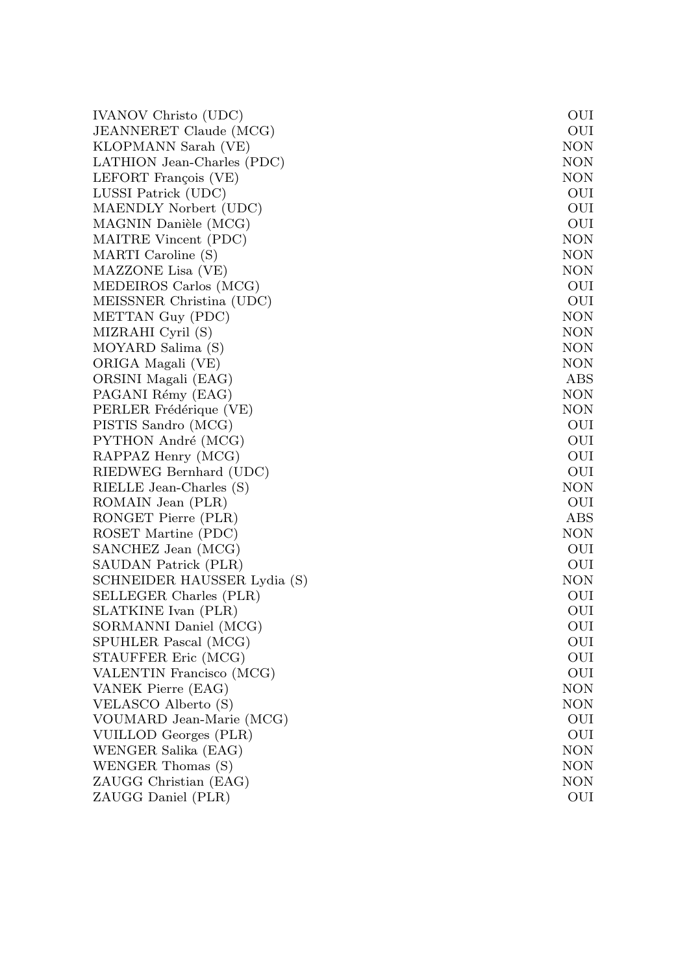| IVANOV Christo (UDC)        | OUI        |
|-----------------------------|------------|
| JEANNERET Claude (MCG)      | OUI        |
| KLOPMANN Sarah (VE)         | NON        |
| LATHION Jean-Charles (PDC)  | NON        |
| LEFORT François (VE)        | NON        |
| LUSSI Patrick (UDC)         | OUI        |
| MAENDLY Norbert (UDC)       | OUI        |
| MAGNIN Danièle (MCG)        | OUI        |
| MAITRE Vincent (PDC)        | NON        |
| MARTI Caroline (S)          | NON        |
| MAZZONE Lisa (VE)           | NON        |
| MEDEIROS Carlos (MCG)       | OUI        |
| MEISSNER Christina (UDC)    | OUI        |
| METTAN Guy (PDC)            | <b>NON</b> |
| MIZRAHI Cyril (S)           | NON        |
| MOYARD Salima (S)           | NON        |
| ORIGA Magali (VE)           | NON        |
| ORSINI Magali (EAG)         | ABS        |
| PAGANI Rémy (EAG)           | <b>NON</b> |
| PERLER Frédérique (VE)      | <b>NON</b> |
| PISTIS Sandro (MCG)         | OUI        |
| PYTHON André (MCG)          | OUI        |
| RAPPAZ Henry (MCG)          | OUI        |
| RIEDWEG Bernhard (UDC)      | OUI        |
| RIELLE Jean-Charles (S)     | <b>NON</b> |
| ROMAIN Jean (PLR)           | OUI        |
| RONGET Pierre (PLR)         | ABS        |
| ROSET Martine (PDC)         | NON        |
| SANCHEZ Jean (MCG)          | OUI        |
| SAUDAN Patrick (PLR)        | OUI        |
| SCHNEIDER HAUSSER Lydia (S) | <b>NON</b> |
| SELLEGER Charles (PLR)      | OUI        |
| SLATKINE Ivan (PLR)         | OUI        |
| SORMANNI Daniel (MCG)       | OUI        |
| SPUHLER Pascal (MCG)        | OUI        |
| STAUFFER Eric (MCG)         | OUI        |
| VALENTIN Francisco (MCG)    | OUI        |
| VANEK Pierre (EAG)          | NON        |
| VELASCO Alberto (S)         | NON        |
| VOUMARD Jean-Marie (MCG)    | OUI        |
| VUILLOD Georges (PLR)       | OUI        |
| WENGER Salika (EAG)         | NON        |
| WENGER Thomas (S)           | NON        |
| ZAUGG Christian (EAG)       | NON        |
| ZAUGG Daniel (PLR)          | OUI        |